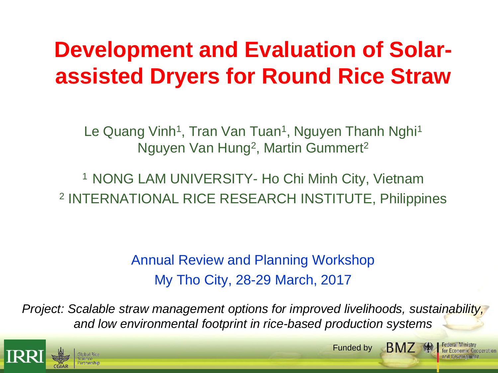# **Development and Evaluation of Solarassisted Dryers for Round Rice Straw**

Le Quang Vinh<sup>1</sup>, Tran Van Tuan<sup>1</sup>, Nguyen Thanh Nghi<sup>1</sup> Nguyen Van Hung<sup>2</sup>, Martin Gummert<sup>2</sup>

<sup>1</sup> NONG LAM UNIVERSITY- Ho Chi Minh City, Vietnam 2 INTERNATIONAL RICE RESEARCH INSTITUTE, Philippines

> Annual Review and Planning Workshop My Tho City, 28-29 March, 2017

*Project: Scalable straw management options for improved livelihoods, sustainability, and low environmental footprint in rice-based production systems*



**BMZ** · Funded by

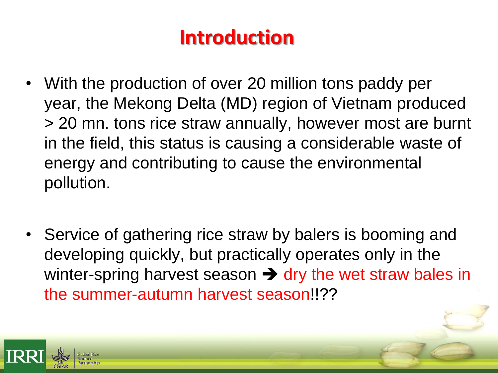# **Introduction**

- With the production of over 20 million tons paddy per year, the Mekong Delta (MD) region of Vietnam produced > 20 mn. tons rice straw annually, however most are burnt in the field, this status is causing a considerable waste of energy and contributing to cause the environmental pollution.
- Service of gathering rice straw by balers is booming and developing quickly, but practically operates only in the winter-spring harvest season  $\rightarrow$  dry the wet straw bales in the summer-autumn harvest season!!??

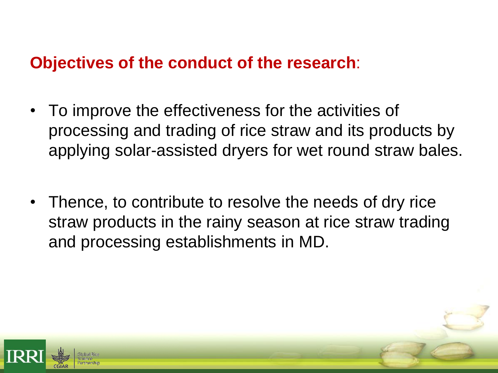#### **Objectives of the conduct of the research**:

- To improve the effectiveness for the activities of processing and trading of rice straw and its products by applying solar-assisted dryers for wet round straw bales.
- Thence, to contribute to resolve the needs of dry rice straw products in the rainy season at rice straw trading and processing establishments in MD.

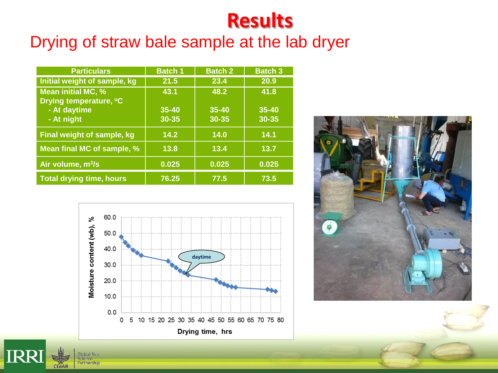#### Drying of straw bale sample at the lab dryer

| <b>Particulars</b>                           | <b>Batch 1</b> | <b>Batch 2</b> | <b>Batch 3</b> |
|----------------------------------------------|----------------|----------------|----------------|
| Initial weight of sample, kg                 | 21.5           | 23.4           | 20.9           |
| Mean initial MC, %<br>Drying temperature, °C | 43.1           | 48.2           | 41.8           |
| - At daytime                                 | $35 - 40$      | 35-40          | 35-40          |
| - At night                                   | 30-35          | 30-35          | 30-35          |
| Final weight of sample, kg                   | 14.2           | 14.0           | 14.1           |
| Mean final MC of sample, %                   | 13.8           | 13.4           | 13.7           |
| Air volume, m <sup>3</sup> /s                | 0.025          | 0.025          | 0.025          |
| <b>Total drying time, hours</b>              | 76.25          | 77.5           | 73.5           |



**IRR** 

**Global Rice** cience Partnership

**CGIAR** 

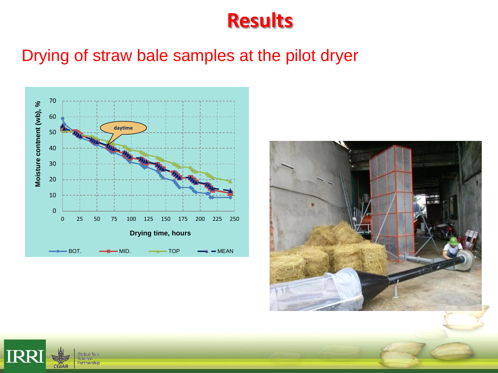#### Drying of straw bale samples at the pilot dryer





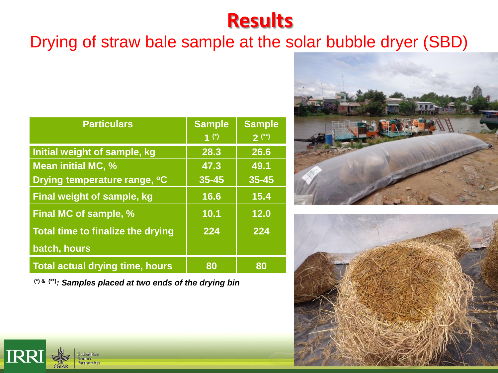#### Drying of straw bale sample at the solar bubble dryer (SBD)

| <b>Particulars</b>                     | <b>Sample</b>      | <b>Sample</b> |  |
|----------------------------------------|--------------------|---------------|--|
|                                        | $\overline{1}$ (*) | $2^{(*)}$     |  |
| Initial weight of sample, kg           | 28.3               | 26.6          |  |
| <b>Mean initial MC, %</b>              | 47.3               | 49.1          |  |
| Drying temperature range, °C           | $35 - 45$          | $35 - 45$     |  |
| <b>Final weight of sample, kg</b>      | 16.6               | 15.4          |  |
| Final MC of sample, %                  | 10.1               | 12.0          |  |
| Total time to finalize the drying      | 224                | 224           |  |
| batch, hours                           |                    |               |  |
| <b>Total actual drying time, hours</b> | 80                 | 80            |  |

**(\*) & (\*\*)***: Samples placed at two ends of the drying bin*





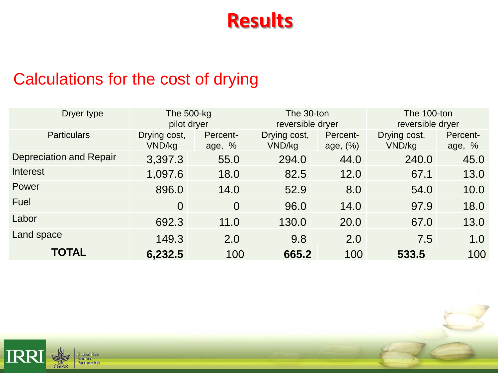### Calculations for the cost of drying

| Dryer type                     | The $500$ -kg<br>pilot dryer |                    | The 30-ton<br>reversible dryer |                      | The 100-ton<br>reversible dryer |                    |
|--------------------------------|------------------------------|--------------------|--------------------------------|----------------------|---------------------------------|--------------------|
| <b>Particulars</b>             | Drying cost,<br>VND/kg       | Percent-<br>age, % | Drying cost,<br>VND/kg         | Percent-<br>age, (%) | Drying cost,<br>VND/kg          | Percent-<br>age, % |
| <b>Depreciation and Repair</b> | 3,397.3                      | 55.0               | 294.0                          | 44.0                 | 240.0                           | 45.0               |
| Interest                       | 1,097.6                      | 18.0               | 82.5                           | 12.0                 | 67.1                            | 13.0               |
| Power                          | 896.0                        | 14.0               | 52.9                           | 8.0                  | 54.0                            | 10.0               |
| Fuel                           | $\overline{0}$               | $\overline{0}$     | 96.0                           | 14.0                 | 97.9                            | 18.0               |
| Labor                          | 692.3                        | 11.0               | 130.0                          | 20.0                 | 67.0                            | 13.0               |
| Land space                     | 149.3                        | 2.0                | 9.8                            | 2.0                  | 7.5                             | 1.0                |
| <b>TOTAL</b>                   | 6,232.5                      | 100                | 665.2                          | 100                  | 533.5                           | 100                |